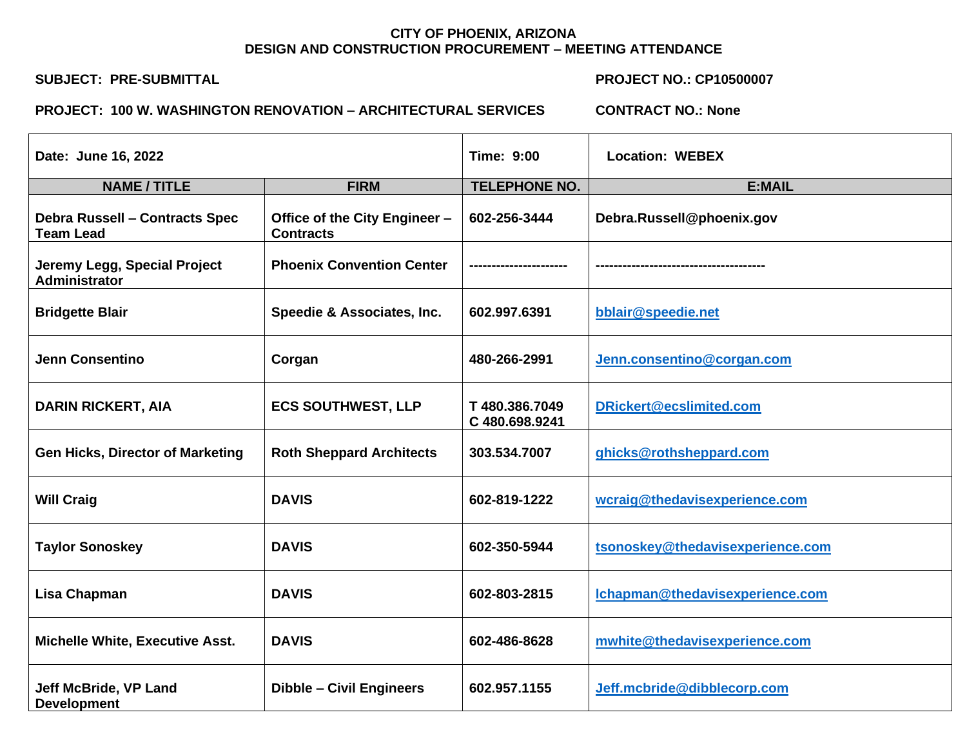## **CITY OF PHOENIX, ARIZONA DESIGN AND CONSTRUCTION PROCUREMENT – MEETING ATTENDANCE**

**SUBJECT: PRE-SUBMITTAL** 

## **PROJECT NO.: CP10500007**

# **PROJECT: 100 W. WASHINGTON RENOVATION – ARCHITECTURAL SERVICES**

**CONTRACT NO.: None**

| Date: June 16, 2022                                       |                                                   | <b>Time: 9:00</b>               | <b>Location: WEBEX</b>           |
|-----------------------------------------------------------|---------------------------------------------------|---------------------------------|----------------------------------|
| <b>NAME / TITLE</b>                                       | <b>FIRM</b>                                       | <b>TELEPHONE NO.</b>            | <b>E:MAIL</b>                    |
| <b>Debra Russell - Contracts Spec</b><br><b>Team Lead</b> | Office of the City Engineer -<br><b>Contracts</b> | 602-256-3444                    | Debra.Russell@phoenix.gov        |
| Jeremy Legg, Special Project<br><b>Administrator</b>      | <b>Phoenix Convention Center</b>                  |                                 |                                  |
| <b>Bridgette Blair</b>                                    | Speedie & Associates, Inc.                        | 602.997.6391                    | bblair@speedie.net               |
| <b>Jenn Consentino</b>                                    | Corgan                                            | 480-266-2991                    | Jenn.consentino@corgan.com       |
| <b>DARIN RICKERT, AIA</b>                                 | <b>ECS SOUTHWEST, LLP</b>                         | T480.386.7049<br>C 480.698.9241 | DRickert@ecslimited.com          |
| <b>Gen Hicks, Director of Marketing</b>                   | <b>Roth Sheppard Architects</b>                   | 303.534.7007                    | ghicks@rothsheppard.com          |
| <b>Will Craig</b>                                         | <b>DAVIS</b>                                      | 602-819-1222                    | wcraig@thedavisexperience.com    |
| <b>Taylor Sonoskey</b>                                    | <b>DAVIS</b>                                      | 602-350-5944                    | tsonoskey@thedavisexperience.com |
| Lisa Chapman                                              | <b>DAVIS</b>                                      | 602-803-2815                    | Ichapman@thedavisexperience.com  |
| <b>Michelle White, Executive Asst.</b>                    | <b>DAVIS</b>                                      | 602-486-8628                    | mwhite@thedavisexperience.com    |
| Jeff McBride, VP Land<br><b>Development</b>               | Dibble - Civil Engineers                          | 602.957.1155                    | Jeff.mcbride@dibblecorp.com      |